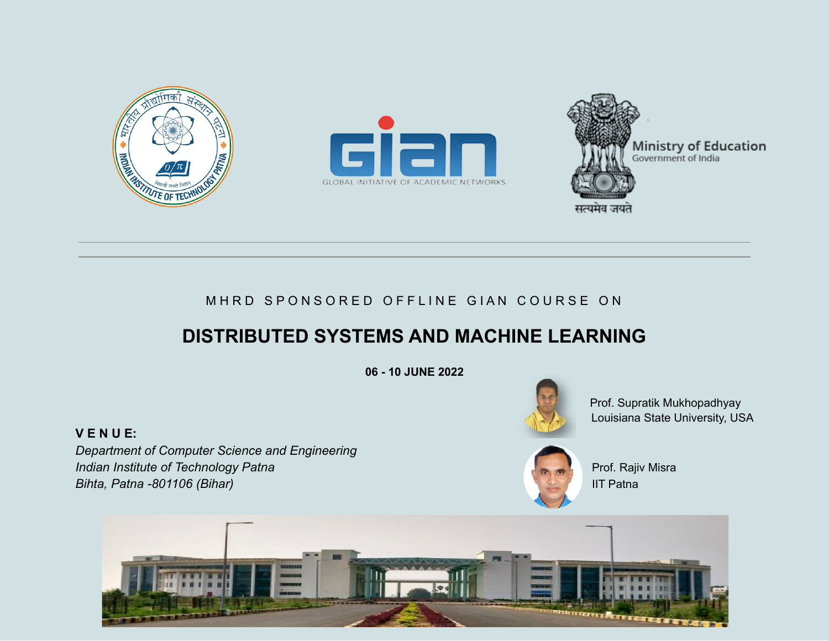





## MHRD SPONSORED OFFLINE GIAN COURSE ON

# **DISTRIBUTED SYSTEMS AND MACHINE LEARNING**

**06 - 10 JUNE 2022**

**V E N U E:**

*Department of Computer Science and Engineering* **Indian Institute of Technology Patna** Prof. Rajiv Misra *Bihta, Patna -801106 (Bihar)* IIT Patna



Prof. Supratik Mukhopadhyay Louisiana State University, USA



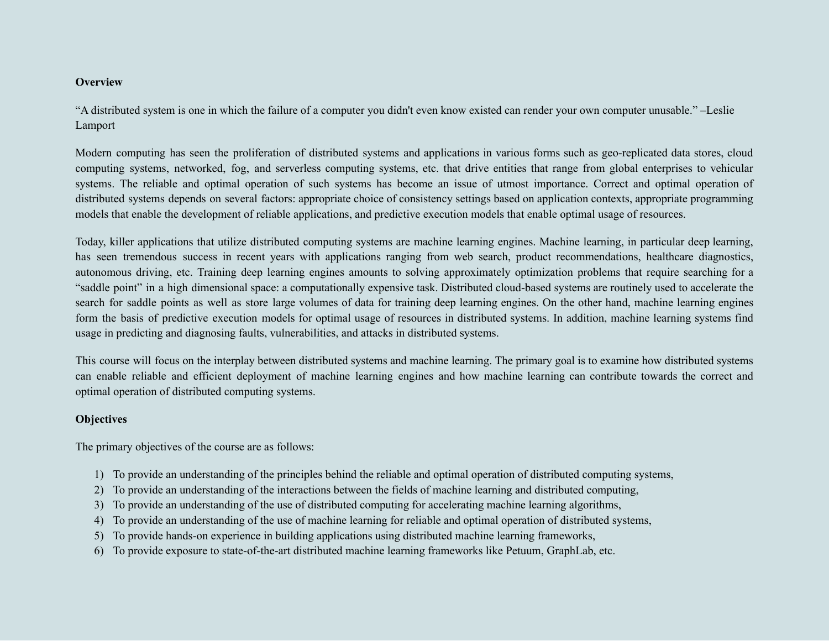#### **Overview**

"A distributed system is one in which the failure of a computer you didn't even know existed can render your own computer unusable." –Leslie Lamport

Modern computing has seen the proliferation of distributed systems and applications in various forms such as geo-replicated data stores, cloud computing systems, networked, fog, and serverless computing systems, etc. that drive entities that range from global enterprises to vehicular systems. The reliable and optimal operation of such systems has become an issue of utmost importance. Correct and optimal operation of distributed systems depends on several factors: appropriate choice of consistency settings based on application contexts, appropriate programming models that enable the development of reliable applications, and predictive execution models that enable optimal usage of resources.

Today, killer applications that utilize distributed computing systems are machine learning engines. Machine learning, in particular deep learning, has seen tremendous success in recent years with applications ranging from web search, product recommendations, healthcare diagnostics, autonomous driving, etc. Training deep learning engines amounts to solving approximately optimization problems that require searching for a "saddle point" in a high dimensional space: a computationally expensive task. Distributed cloud-based systems are routinely used to accelerate the search for saddle points as well as store large volumes of data for training deep learning engines. On the other hand, machine learning engines form the basis of predictive execution models for optimal usage of resources in distributed systems. In addition, machine learning systems find usage in predicting and diagnosing faults, vulnerabilities, and attacks in distributed systems.

This course will focus on the interplay between distributed systems and machine learning. The primary goal is to examine how distributed systems can enable reliable and efficient deployment of machine learning engines and how machine learning can contribute towards the correct and optimal operation of distributed computing systems.

#### **Objectives**

The primary objectives of the course are as follows:

- 1) To provide an understanding of the principles behind the reliable and optimal operation of distributed computing systems,
- 2) To provide an understanding of the interactions between the fields of machine learning and distributed computing,
- 3) To provide an understanding of the use of distributed computing for accelerating machine learning algorithms,
- 4) To provide an understanding of the use of machine learning for reliable and optimal operation of distributed systems,
- 5) To provide hands-on experience in building applications using distributed machine learning frameworks,
- 6) To provide exposure to state-of-the-art distributed machine learning frameworks like Petuum, GraphLab, etc.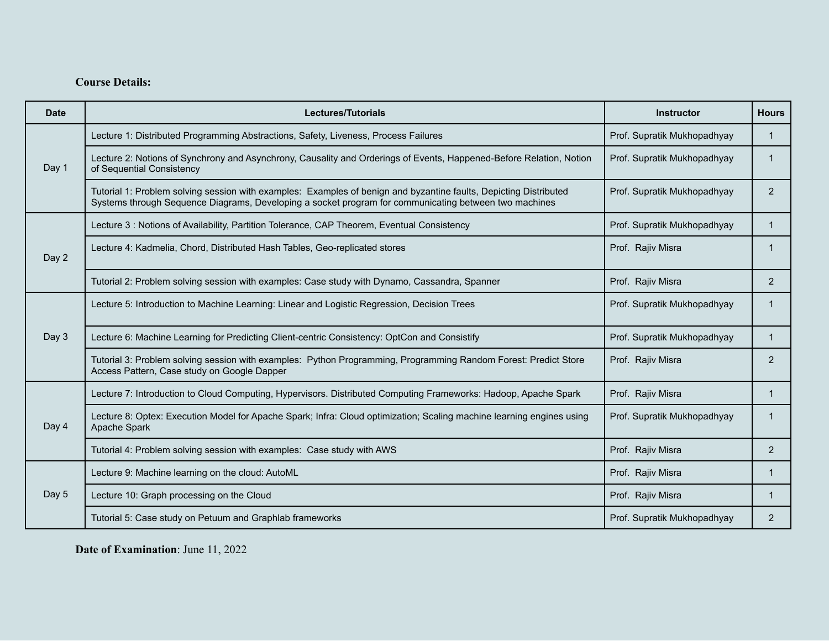### **Course Details:**

| Date  | Lectures/Tutorials                                                                                                                                                                                                         | <b>Instructor</b>           | <b>Hours</b>   |
|-------|----------------------------------------------------------------------------------------------------------------------------------------------------------------------------------------------------------------------------|-----------------------------|----------------|
| Day 1 | Lecture 1: Distributed Programming Abstractions, Safety, Liveness, Process Failures                                                                                                                                        | Prof. Supratik Mukhopadhyay | $\mathbf{1}$   |
|       | Lecture 2: Notions of Synchrony and Asynchrony, Causality and Orderings of Events, Happened-Before Relation, Notion<br>of Sequential Consistency                                                                           | Prof. Supratik Mukhopadhyay | 1              |
|       | Tutorial 1: Problem solving session with examples: Examples of benign and byzantine faults, Depicting Distributed<br>Systems through Sequence Diagrams, Developing a socket program for communicating between two machines | Prof. Supratik Mukhopadhyay | 2              |
| Day 2 | Lecture 3 : Notions of Availability, Partition Tolerance, CAP Theorem, Eventual Consistency                                                                                                                                | Prof. Supratik Mukhopadhyay | $\mathbf{1}$   |
|       | Lecture 4: Kadmelia, Chord, Distributed Hash Tables, Geo-replicated stores                                                                                                                                                 | Prof. Rajiv Misra           | $\mathbf{1}$   |
|       | Tutorial 2: Problem solving session with examples: Case study with Dynamo, Cassandra, Spanner                                                                                                                              | Prof. Rajiv Misra           | 2              |
| Day 3 | Lecture 5: Introduction to Machine Learning: Linear and Logistic Regression, Decision Trees                                                                                                                                | Prof. Supratik Mukhopadhyay | $\mathbf{1}$   |
|       | Lecture 6: Machine Learning for Predicting Client-centric Consistency: OptCon and Consistify                                                                                                                               | Prof. Supratik Mukhopadhyay | 1              |
|       | Tutorial 3: Problem solving session with examples: Python Programming, Programming Random Forest: Predict Store<br>Access Pattern, Case study on Google Dapper                                                             | Prof. Rajiv Misra           | $\overline{2}$ |
| Day 4 | Lecture 7: Introduction to Cloud Computing, Hypervisors. Distributed Computing Frameworks: Hadoop, Apache Spark                                                                                                            | Prof. Rajiv Misra           | $\mathbf{1}$   |
|       | Lecture 8: Optex: Execution Model for Apache Spark; Infra: Cloud optimization; Scaling machine learning engines using<br>Apache Spark                                                                                      | Prof. Supratik Mukhopadhyay | -1             |
|       | Tutorial 4: Problem solving session with examples: Case study with AWS                                                                                                                                                     | Prof. Rajiv Misra           | 2              |
| Day 5 | Lecture 9: Machine learning on the cloud: AutoML                                                                                                                                                                           | Prof. Rajiv Misra           | $\mathbf{1}$   |
|       | Lecture 10: Graph processing on the Cloud                                                                                                                                                                                  | Prof. Rajiv Misra           | $\mathbf{1}$   |
|       | Tutorial 5: Case study on Petuum and Graphlab frameworks                                                                                                                                                                   | Prof. Supratik Mukhopadhyay | 2              |

**Date of Examination**: June 11, 2022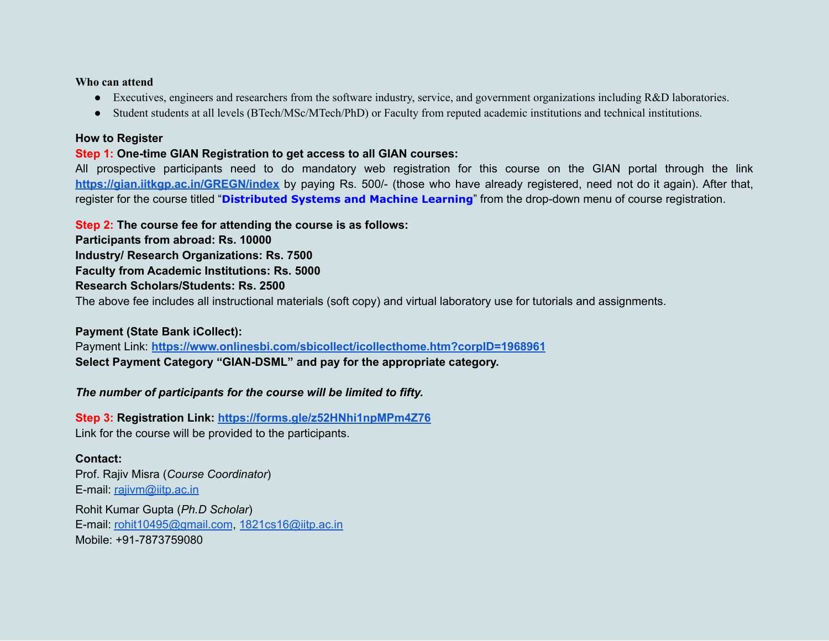#### **Who can attend**

- Executives, engineers and researchers from the software industry, service, and government organizations including R&D laboratories.
- Student students at all levels (BTech/MSc/MTech/PhD) or Faculty from reputed academic institutions and technical institutions.

#### **How to Register**

#### **Step 1: One-time GIAN Registration to get access to all GIAN courses:**

All prospective participants need to do mandatory web registration for this course on the GIAN portal through the link **<https://gian.iitkgp.ac.in/GREGN/index>** by paying Rs. 500/- (those who have already registered, need not do it again). After that, register for the course titled "**Distributed Systems and Machine Learning**" from the drop-down menu of course registration.

**Step 2: The course fee for attending the course is as follows:**

**Participants from abroad: Rs. 10000 Industry/ Research Organizations: Rs. 7500 Faculty from Academic Institutions: Rs. 5000 Research Scholars/Students: Rs. 2500**

The above fee includes all instructional materials (soft copy) and virtual laboratory use for tutorials and assignments.

#### **Payment (State Bank iCollect):**

Payment Link: **<https://www.onlinesbi.com/sbicollect/icollecthome.htm?corpID=1968961> Select Payment Category "GIAN-DSML" and pay for the appropriate category.**

*The number of participants for the course will be limited to fifty.*

**Step 3: Registration Link: <https://forms.gle/z52HNhi1npMPm4Z76>** Link for the course will be provided to the participants.

#### **Contact:**

Prof. Rajiv Misra (*Course Coordinator*) E-mail: [rajivm@iitp.ac.in](mailto:rajivm@iitp.ac.in) Rohit Kumar Gupta (*Ph.D Scholar*) E-mail: [rohit10495@gmail.com](mailto:rohit10495@gmail.com), [1821cs16@iitp.ac.in](mailto:1821cs16@iitp.ac.in) Mobile: +91-7873759080